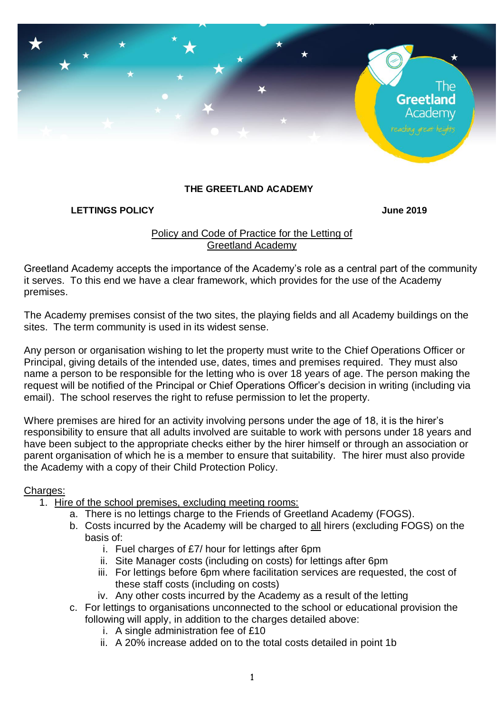

### **THE GREETLAND ACADEMY**

#### **LETTINGS POLICY June 2019**

## Policy and Code of Practice for the Letting of Greetland Academy

Greetland Academy accepts the importance of the Academy's role as a central part of the community it serves. To this end we have a clear framework, which provides for the use of the Academy premises.

The Academy premises consist of the two sites, the playing fields and all Academy buildings on the sites. The term community is used in its widest sense.

Any person or organisation wishing to let the property must write to the Chief Operations Officer or Principal, giving details of the intended use, dates, times and premises required. They must also name a person to be responsible for the letting who is over 18 years of age. The person making the request will be notified of the Principal or Chief Operations Officer's decision in writing (including via email). The school reserves the right to refuse permission to let the property.

Where premises are hired for an activity involving persons under the age of 18, it is the hirer's responsibility to ensure that all adults involved are suitable to work with persons under 18 years and have been subject to the appropriate checks either by the hirer himself or through an association or parent organisation of which he is a member to ensure that suitability. The hirer must also provide the Academy with a copy of their Child Protection Policy.

### Charges:

- 1. Hire of the school premises, excluding meeting rooms:
	- a. There is no lettings charge to the Friends of Greetland Academy (FOGS).
	- b. Costs incurred by the Academy will be charged to all hirers (excluding FOGS) on the basis of:
		- i. Fuel charges of £7/ hour for lettings after 6pm
		- ii. Site Manager costs (including on costs) for lettings after 6pm
		- iii. For lettings before 6pm where facilitation services are requested, the cost of these staff costs (including on costs)
		- iv. Any other costs incurred by the Academy as a result of the letting
	- c. For lettings to organisations unconnected to the school or educational provision the following will apply, in addition to the charges detailed above:
		- i. A single administration fee of £10
		- ii. A 20% increase added on to the total costs detailed in point 1b